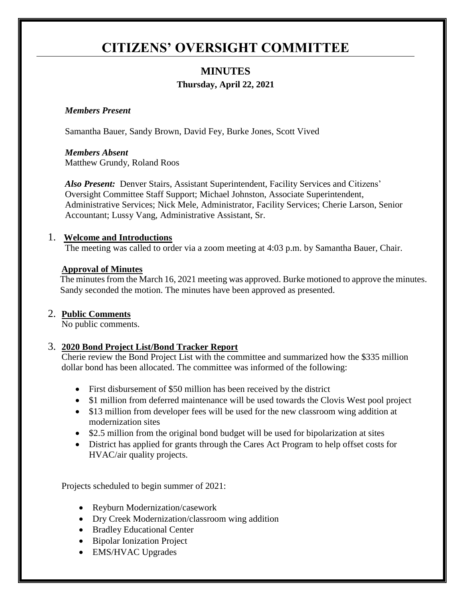# **CITIZENS' OVERSIGHT COMMITTEE**

# **MINUTES Thursday, April 22, 2021**

#### *Members Present*

Samantha Bauer, Sandy Brown, David Fey, Burke Jones, Scott Vived

*Members Absent* Matthew Grundy, Roland Roos

*Also Present:* Denver Stairs, Assistant Superintendent, Facility Services and Citizens' Oversight Committee Staff Support; Michael Johnston, Associate Superintendent, Administrative Services; Nick Mele, Administrator, Facility Services; Cherie Larson, Senior Accountant; Lussy Vang, Administrative Assistant, Sr.

#### 1. **Welcome and Introductions**

The meeting was called to order via a zoom meeting at 4:03 p.m. by Samantha Bauer, Chair.

#### **Approval of Minutes**

The minutes from the March 16, 2021 meeting was approved. Burke motioned to approve the minutes. Sandy seconded the motion. The minutes have been approved as presented.

## 2. **Public Comments**

No public comments.

## 3. **2020 Bond Project List/Bond Tracker Report**

Cherie review the Bond Project List with the committee and summarized how the \$335 million dollar bond has been allocated. The committee was informed of the following:

- First disbursement of \$50 million has been received by the district
- \$1 million from deferred maintenance will be used towards the Clovis West pool project
- \$13 million from developer fees will be used for the new classroom wing addition at modernization sites
- \$2.5 million from the original bond budget will be used for bipolarization at sites
- District has applied for grants through the Cares Act Program to help offset costs for HVAC/air quality projects.

Projects scheduled to begin summer of 2021:

- Reyburn Modernization/casework
- Dry Creek Modernization/classroom wing addition
- Bradley Educational Center
- Bipolar Ionization Project
- EMS/HVAC Upgrades